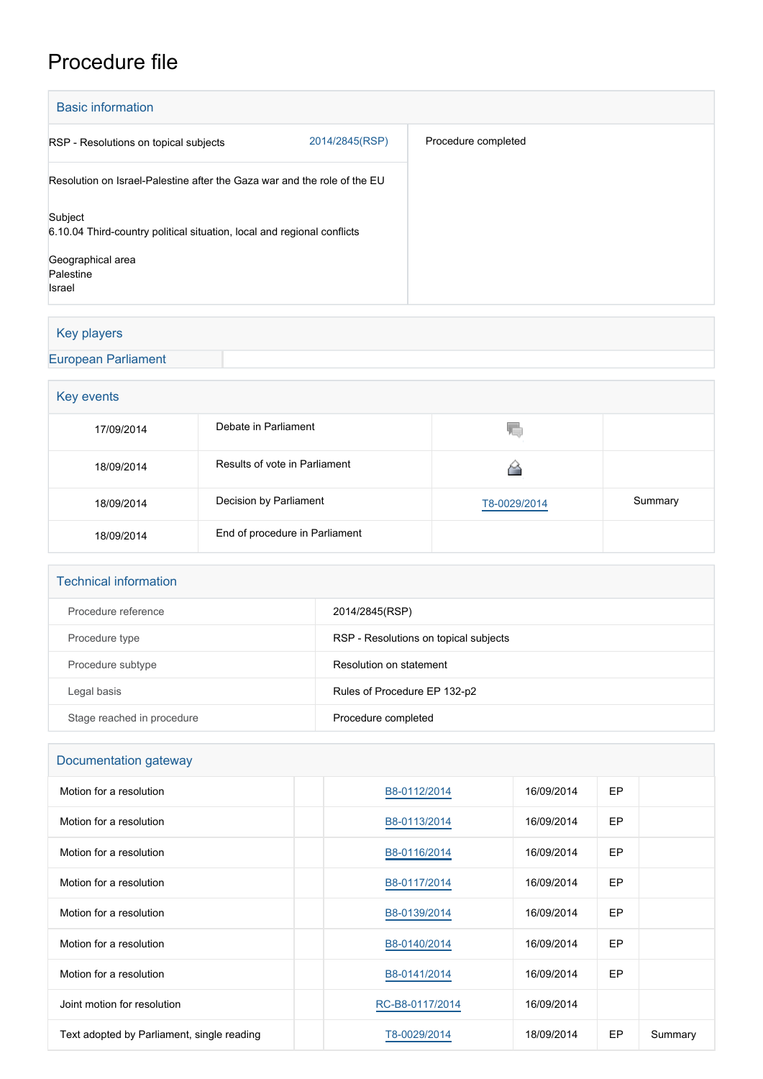# Procedure file

| <b>Basic information</b>                                                           |                |                     |  |  |
|------------------------------------------------------------------------------------|----------------|---------------------|--|--|
| RSP - Resolutions on topical subjects                                              | 2014/2845(RSP) | Procedure completed |  |  |
| Resolution on Israel-Palestine after the Gaza war and the role of the EU           |                |                     |  |  |
| Subject<br>6.10.04 Third-country political situation, local and regional conflicts |                |                     |  |  |
| Geographical area<br>Palestine                                                     |                |                     |  |  |
| <b>Israel</b>                                                                      |                |                     |  |  |

# Key players

[European Parliament](http://www.europarl.europa.eu/)

### **Key events**

| . <i>. .</i> |                                |              |         |  |  |
|--------------|--------------------------------|--------------|---------|--|--|
| 17/09/2014   | Debate in Parliament           | Y.           |         |  |  |
| 18/09/2014   | Results of vote in Parliament  |              |         |  |  |
| 18/09/2014   | Decision by Parliament         | T8-0029/2014 | Summary |  |  |
| 18/09/2014   | End of procedure in Parliament |              |         |  |  |

#### Technical information

| Procedure reference        | 2014/2845(RSP)                        |
|----------------------------|---------------------------------------|
| Procedure type             | RSP - Resolutions on topical subjects |
| Procedure subtype          | Resolution on statement               |
| Legal basis                | Rules of Procedure EP 132-p2          |
| Stage reached in procedure | Procedure completed                   |

# Documentation gateway

| Motion for a resolution                    | B8-0112/2014    | 16/09/2014 | <b>EP</b> |         |
|--------------------------------------------|-----------------|------------|-----------|---------|
| Motion for a resolution                    | B8-0113/2014    | 16/09/2014 | <b>EP</b> |         |
| Motion for a resolution                    | B8-0116/2014    | 16/09/2014 | <b>EP</b> |         |
| Motion for a resolution                    | B8-0117/2014    | 16/09/2014 | <b>EP</b> |         |
| Motion for a resolution                    | B8-0139/2014    | 16/09/2014 | EP        |         |
| Motion for a resolution                    | B8-0140/2014    | 16/09/2014 | <b>EP</b> |         |
| Motion for a resolution                    | B8-0141/2014    | 16/09/2014 | EP        |         |
| Joint motion for resolution                | RC-B8-0117/2014 | 16/09/2014 |           |         |
| Text adopted by Parliament, single reading | T8-0029/2014    | 18/09/2014 | EP        | Summary |